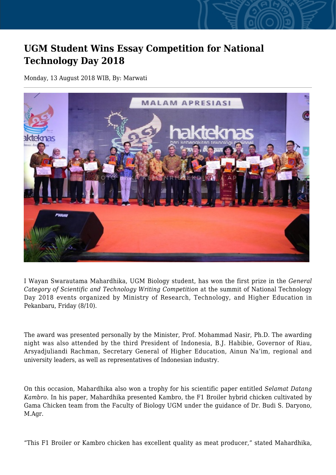## **UGM Student Wins Essay Competition for National Technology Day 2018**

Monday, 13 August 2018 WIB, By: Marwati



I Wayan Swarautama Mahardhika, UGM Biology student, has won the first prize in the *General Category of Scientific and Technology Writing Competition* at the summit of National Technology Day 2018 events organized by Ministry of Research, Technology, and Higher Education in Pekanbaru, Friday (8/10).

The award was presented personally by the Minister, Prof. Mohammad Nasir, Ph.D. The awarding night was also attended by the third President of Indonesia, B.J. Habibie, Governor of Riau, Arsyadjuliandi Rachman, Secretary General of Higher Education, Ainun Na'im, regional and university leaders, as well as representatives of Indonesian industry.

On this occasion, Mahardhika also won a trophy for his scientific paper entitled *Selamat Datang Kambro*. In his paper, Mahardhika presented Kambro, the F1 Broiler hybrid chicken cultivated by Gama Chicken team from the Faculty of Biology UGM under the guidance of Dr. Budi S. Daryono, M.Agr.

"This F1 Broiler or Kambro chicken has excellent quality as meat producer," stated Mahardhika,